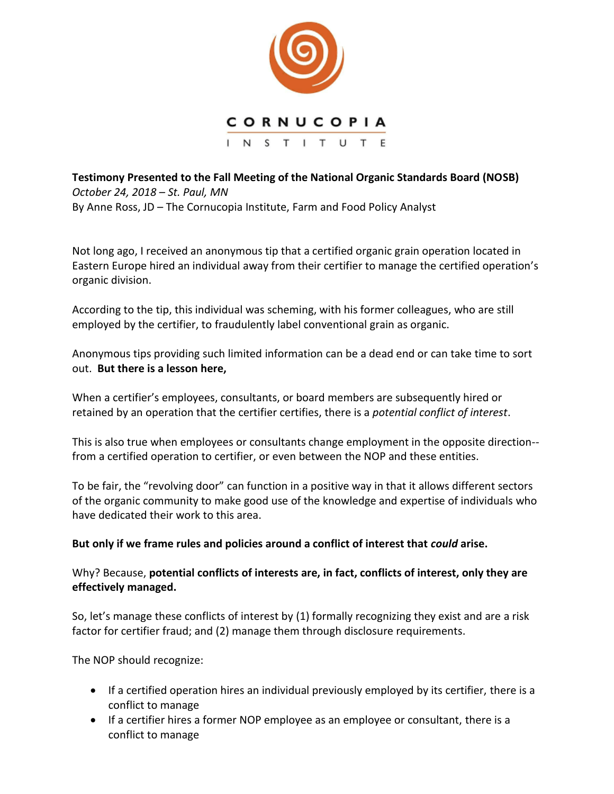

**Testimony Presented to the Fall Meeting of the National Organic Standards Board (NOSB)**  *October 24, 2018 – St. Paul, MN* By Anne Ross, JD – The Cornucopia Institute, Farm and Food Policy Analyst

Not long ago, I received an anonymous tip that a certified organic grain operation located in Eastern Europe hired an individual away from their certifier to manage the certified operation's organic division.

According to the tip, this individual was scheming, with his former colleagues, who are still employed by the certifier, to fraudulently label conventional grain as organic.

Anonymous tips providing such limited information can be a dead end or can take time to sort out. **But there is a lesson here,** 

When a certifier's employees, consultants, or board members are subsequently hired or retained by an operation that the certifier certifies, there is a *potential conflict of interest*.

This is also true when employees or consultants change employment in the opposite direction- from a certified operation to certifier, or even between the NOP and these entities.

To be fair, the "revolving door" can function in a positive way in that it allows different sectors of the organic community to make good use of the knowledge and expertise of individuals who have dedicated their work to this area.

## **But only if we frame rules and policies around a conflict of interest that** *could* **arise.**

Why? Because, **potential conflicts of interests are, in fact, conflicts of interest, only they are effectively managed.**

So, let's manage these conflicts of interest by (1) formally recognizing they exist and are a risk factor for certifier fraud; and (2) manage them through disclosure requirements.

The NOP should recognize:

- If a certified operation hires an individual previously employed by its certifier, there is a conflict to manage
- If a certifier hires a former NOP employee as an employee or consultant, there is a conflict to manage